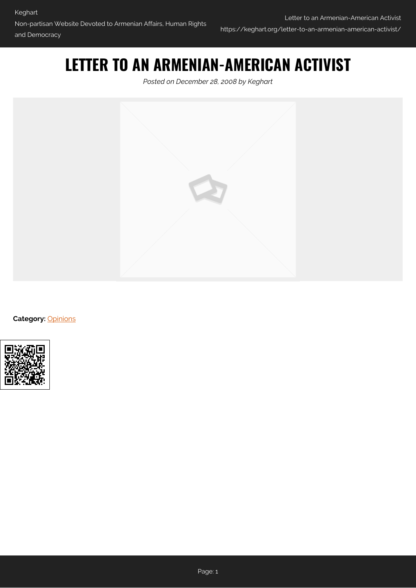## **LETTER TO AN ARMENIAN-AMERICAN ACTIVIST**

*Posted on December 28, 2008 by Keghart*



**Category: [Opinions](https://keghart.org/category/opinions/)** 

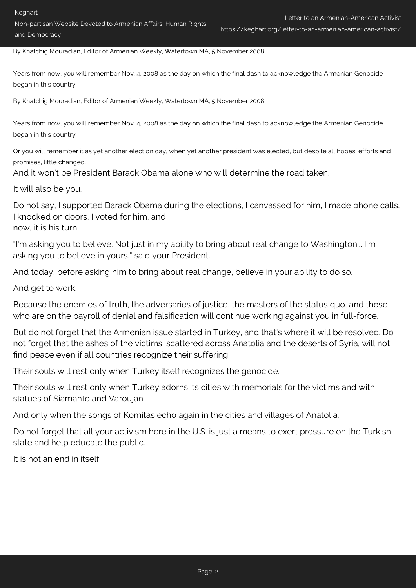Non-partisan Website Devoted to Armenian Affairs, Human Rights and Democracy

https://keghart.org/letter-to-an-armenian-american-activist/

By Khatchig Mouradian, Editor of Armenian Weekly, Watertown MA, 5 November 2008

Years from now, you will remember Nov. 4, 2008 as the day on which the final dash to acknowledge the Armenian Genocide began in this country.

By Khatchig Mouradian, Editor of Armenian Weekly, Watertown MA, 5 November 2008

Years from now, you will remember Nov. 4, 2008 as the day on which the final dash to acknowledge the Armenian Genocide began in this country.

Or you will remember it as yet another election day, when yet another president was elected, but despite all hopes, efforts and promises, little changed.

And it won't be President Barack Obama alone who will determine the road taken.

It will also be you.

Do not say, I supported Barack Obama during the elections, I canvassed for him, I made phone calls, I knocked on doors, I voted for him, and now, it is his turn.

"I'm asking you to believe. Not just in my ability to bring about real change to Washington... I'm asking you to believe in yours," said your President.

And today, before asking him to bring about real change, believe in your ability to do so.

And get to work.

Because the enemies of truth, the adversaries of justice, the masters of the status quo, and those who are on the payroll of denial and falsification will continue working against you in full-force.

But do not forget that the Armenian issue started in Turkey, and that's where it will be resolved. Do not forget that the ashes of the victims, scattered across Anatolia and the deserts of Syria, will not find peace even if all countries recognize their suffering.

Their souls will rest only when Turkey itself recognizes the genocide.

Their souls will rest only when Turkey adorns its cities with memorials for the victims and with statues of Siamanto and Varoujan.

And only when the songs of Komitas echo again in the cities and villages of Anatolia.

Do not forget that all your activism here in the U.S. is just a means to exert pressure on the Turkish state and help educate the public.

It is not an end in itself.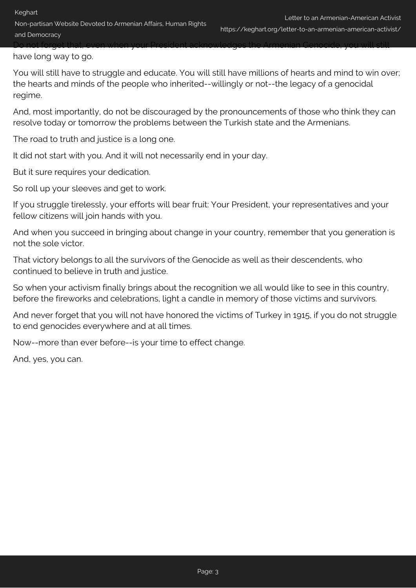have long way to go.

You will still have to struggle and educate. You will still have millions of hearts and mind to win over; the hearts and minds of the people who inherited--willingly or not--the legacy of a genocidal regime.

Do not forget that, even when your President acknowledges the Armenian Genocide, you will still

And, most importantly, do not be discouraged by the pronouncements of those who think they can resolve today or tomorrow the problems between the Turkish state and the Armenians.

The road to truth and justice is a long one.

It did not start with you. And it will not necessarily end in your day.

But it sure requires your dedication.

So roll up your sleeves and get to work.

If you struggle tirelessly, your efforts will bear fruit: Your President, your representatives and your fellow citizens will join hands with you.

And when you succeed in bringing about change in your country, remember that you generation is not the sole victor.

That victory belongs to all the survivors of the Genocide as well as their descendents, who continued to believe in truth and justice.

So when your activism finally brings about the recognition we all would like to see in this country, before the fireworks and celebrations, light a candle in memory of those victims and survivors.

And never forget that you will not have honored the victims of Turkey in 1915, if you do not struggle to end genocides everywhere and at all times.

Now--more than ever before--is your time to effect change.

And, yes, you can.